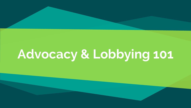# **Advocacy & Lobbying 101**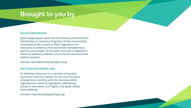### **Brought to you by**

#### **DYLAN WAGUESPACK**

Dylan Waguespack works as the Advocacy and Outreach Coordinator at Louisiana Progress. He has successfully advocated at the Louisiana State Legislature for measures to address child and family homelessness, poverty, and hunger. He has been involved in legislative efforts to address problems in La's foster care and child welfare systems.

Contact: dylan@louisianaprogress.org

#### **MATTHEW PATTERSON, PhD**

Dr. Matthew Patterson is a member of Equality Louisiana's Advisory Board. He has over five years of experience working with the Louisiana State Legislature to advance legislation addressing issues in education, civil rights, and youth safety and wellbeing.

Contact: mpatterson@equalityla.org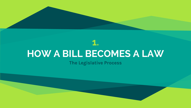## **HOW A BILL BECOMES A LAW**

**1.**

**The Legislative Process**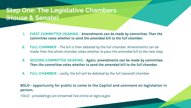### **Step One: The Legislative Chambers (House & Senate)**

- **1. FIRST COMMITTEE HEARING** *Amendments can be made by committee. Then the committee votes whether to send the amended bill to the full chamber.*
- **2. FULL CHAMBER** *The bill is then debated by the full chamber. Amendments can be made, then the whole chamber votes whether to pass the amended bill to the next step.*
- **3. SECOND COMMITTEE HEARING** *Again, amendments can be made by committee. Then the committee votes whether to send the amended bill to the full chamber.*
- **4. FULL CHAMBER** - *Lastly, the bill will be debated by the full (second) chamber.*

#### **BOLD - opportunity for public to come to the Capitol and comment on legislation in person.**

*ITALIC - proceedings are streamed live online at legis.la.gov.*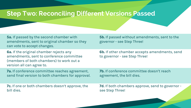### **Step Two: Reconciling Different Versions Passed**

**5a.** If passed by the second chamber with amendments, sent to original chamber so they can vote to accept changes.

**6a.** If the original chamber rejects any amendments, sent to conference committee (members of both chambers) to work out a version all can agree to.

**7a.** If conference committee reaches agreement, send final version to both chambers for approval.

**7c.** If one or both chambers doesn't approve, the bill dies.

**5b.** If passed without amendments, sent to the governor - see Step Three!

**6b.** If other chamber accepts amendments, send to governor - see Step Three!

**7b.** If conference committee doesn't reach agreement, the bill dies.

**7d.** If both chambers approve, send to governor see Step Three!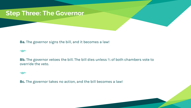### **Step Three: The Governor**

#### **8a.** The governor signs the bill, and it becomes a law!

**-or-**

**8b.** The governor vetoes the bill. The bill dies unless ⅔ of both chambers vote to override the veto.

#### **-or-**

**8c.** The governor takes no action, and the bill becomes a law!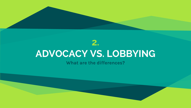

## **ADVOCACY VS. LOBBYING**

**What are the differences?**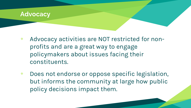

- ʂ Advocacy activities are NOT restricted for nonprofits and are a great way to engage policymakers about issues facing their constituents.
- ʂ Does not endorse or oppose specific legislation, but informs the community at large how public policy decisions impact them.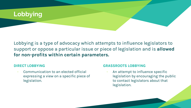

Lobbying is a type of advocacy which attempts to influence legislators to support or oppose a particular issue or piece of legislation and is **allowed for non-profits within certain parameters.**

#### **DIRECT LOBBYING**

Communication to an elected official expressing a view on a specific piece of legislation.

#### **GRASSROOTS LOBBYING**

An attempt to influence specific legislation by encouraging the public to contact legislators about that legislation.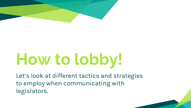

# **How to lobby!**

Let's look at different tactics and strategies to employ when communicating with legislators.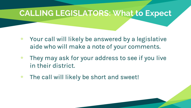### **CALLING LEGISLATORS: What to Expect**

- ʂ Your call will likely be answered by a legislative aide who will make a note of your comments.
- ʂ They may ask for your address to see if you live in their district.
- ʂ The call will likely be short and sweet!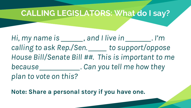### **CALLING LEGISLATORS: What do I say?**

*Hi, my name is \_\_\_\_\_\_, and I live in \_\_\_\_\_\_\_. I'm calling to ask Rep./Sen. \_\_\_\_\_ to support/oppose House Bill/Senate Bill ##. This is important to me because \_\_\_\_\_\_\_\_\_\_\_. Can you tell me how they plan to vote on this?*

**Note: Share a personal story if you have one.**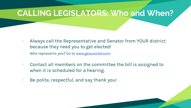### **CALLING LEGISLATORS: Who and When?**

- ʂ Always call the Representative and Senator from YOUR district because they need you to get elected! Who represents you? Go to [www.geauxvote.com](http://www.geauxvote.com).
- ʂ Contact all members on the committee the bill is assigned to when it is scheduled for a hearing.
- $\bullet$  Be polite, respectful, and say thank you!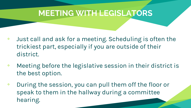### **MEETING WITH LEGISLATORS**

- ʂ Just call and ask for a meeting. Scheduling is often the trickiest part, especially if you are outside of their district.
- ʂ Meeting before the legislative session in their district is the best option.
- ʂ During the session, you can pull them off the floor or speak to them in the hallway during a committee hearing.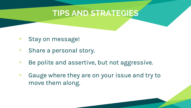### **TIPS AND STRATEGIES**

- ʂ Stay on message!
- ʂ Share a personal story.
- ʂ Be polite and assertive, but not aggressive.
- ʂ Gauge where they are on your issue and try to move them along.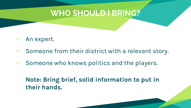### **WHO SHOULD I BRING?**

- ʂ An expert.
- ʂ Someone from their district with a relevant story.
- ʂ Someone who knows politics and the players.

### **Note: Bring brief, solid information to put in their hands.**